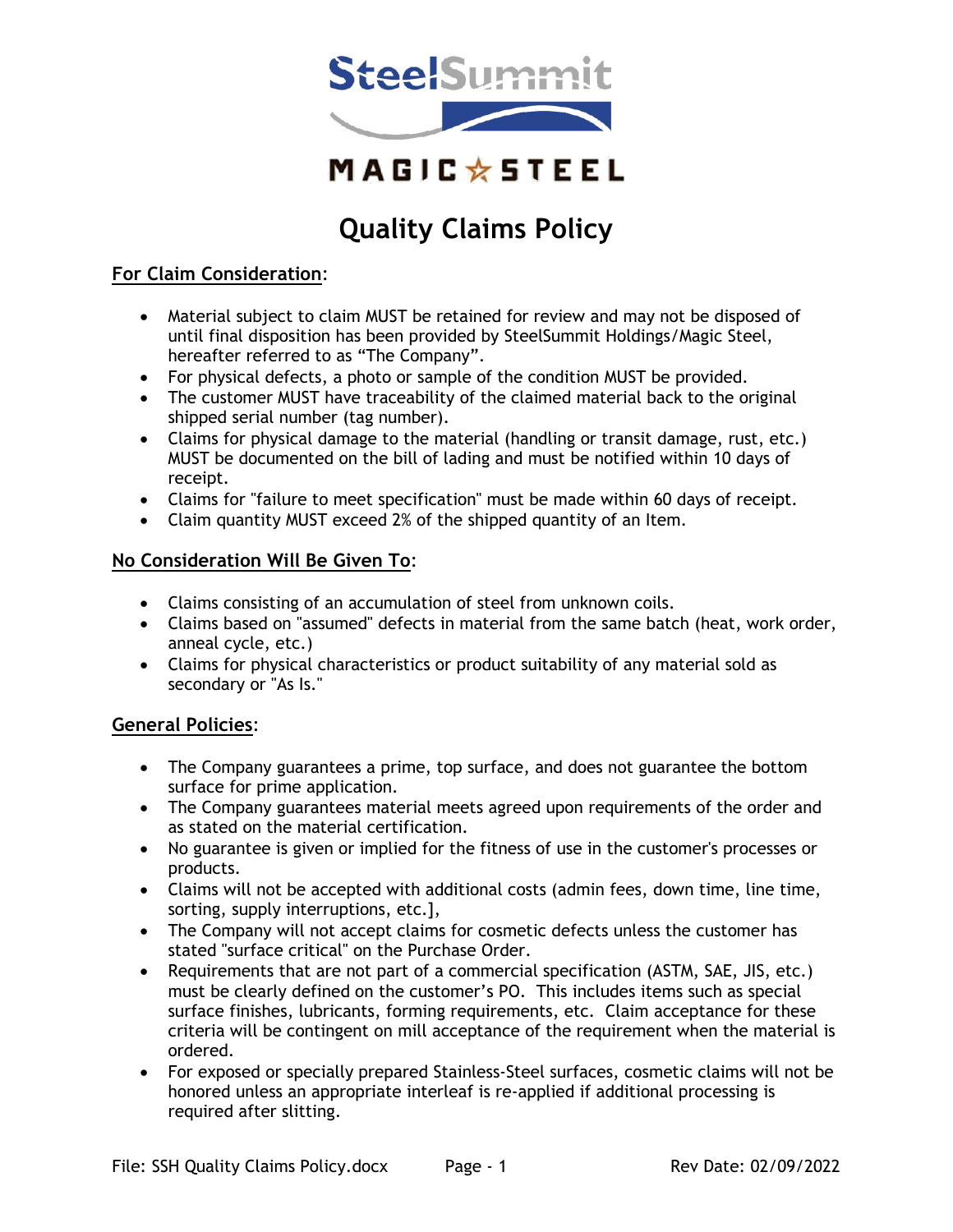

# **Quality Claims Policy**

## **For Claim Consideration**:

- Material subject to claim MUST be retained for review and may not be disposed of until final disposition has been provided by SteelSummit Holdings/Magic Steel, hereafter referred to as "The Company".
- For physical defects, a photo or sample of the condition MUST be provided.
- The customer MUST have traceability of the claimed material back to the original shipped serial number (tag number).
- Claims for physical damage to the material (handling or transit damage, rust, etc.) MUST be documented on the bill of lading and must be notified within 10 days of receipt.
- Claims for "failure to meet specification" must be made within 60 days of receipt.
- Claim quantity MUST exceed 2% of the shipped quantity of an Item.

## **No Consideration Will Be Given To**:

- Claims consisting of an accumulation of steel from unknown coils.
- Claims based on "assumed" defects in material from the same batch (heat, work order, anneal cycle, etc.)
- Claims for physical characteristics or product suitability of any material sold as secondary or "As Is."

## **General Policies**:

- The Company guarantees a prime, top surface, and does not guarantee the bottom surface for prime application.
- The Company guarantees material meets agreed upon requirements of the order and as stated on the material certification.
- No guarantee is given or implied for the fitness of use in the customer's processes or products.
- Claims will not be accepted with additional costs (admin fees, down time, line time, sorting, supply interruptions, etc.],
- The Company will not accept claims for cosmetic defects unless the customer has stated "surface critical" on the Purchase Order.
- Requirements that are not part of a commercial specification (ASTM, SAE, JIS, etc.) must be clearly defined on the customer's PO. This includes items such as special surface finishes, lubricants, forming requirements, etc. Claim acceptance for these criteria will be contingent on mill acceptance of the requirement when the material is ordered.
- For exposed or specially prepared Stainless-Steel surfaces, cosmetic claims will not be honored unless an appropriate interleaf is re-applied if additional processing is required after slitting.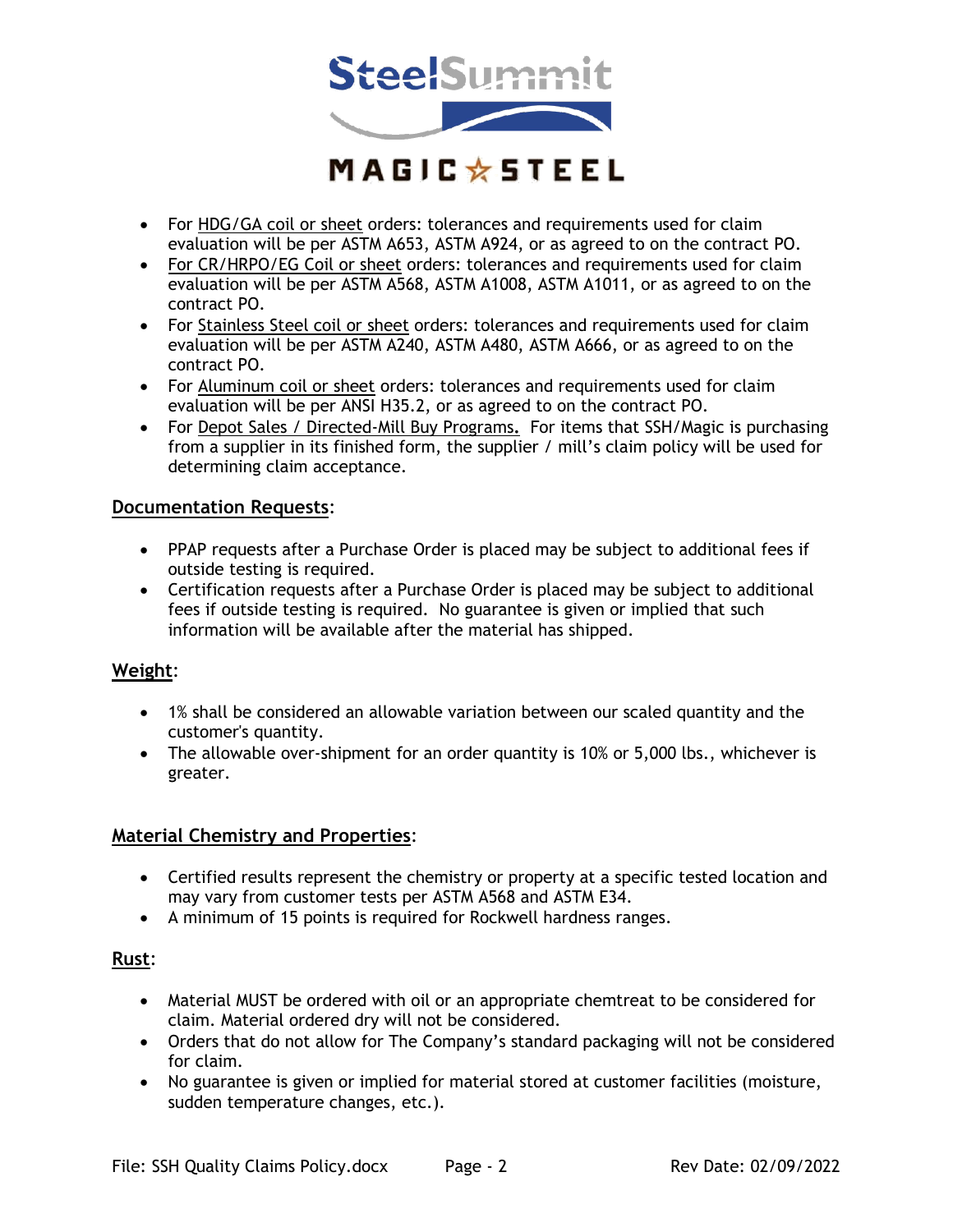

- For HDG/GA coil or sheet orders: tolerances and requirements used for claim evaluation will be per ASTM A653, ASTM A924, or as agreed to on the contract PO.
- For CR/HRPO/EG Coil or sheet orders: tolerances and requirements used for claim evaluation will be per ASTM A568, ASTM A1008, ASTM A1011, or as agreed to on the contract PO.
- For Stainless Steel coil or sheet orders: tolerances and requirements used for claim evaluation will be per ASTM A240, ASTM A480, ASTM A666, or as agreed to on the contract PO.
- For Aluminum coil or sheet orders: tolerances and requirements used for claim evaluation will be per ANSI H35.2, or as agreed to on the contract PO.
- For Depot Sales / Directed-Mill Buy Programs**.** For items that SSH/Magic is purchasing from a supplier in its finished form, the supplier / mill's claim policy will be used for determining claim acceptance.

### **Documentation Requests**:

- PPAP requests after a Purchase Order is placed may be subject to additional fees if outside testing is required.
- Certification requests after a Purchase Order is placed may be subject to additional fees if outside testing is required. No guarantee is given or implied that such information will be available after the material has shipped.

## **Weight**:

- 1% shall be considered an allowable variation between our scaled quantity and the customer's quantity.
- The allowable over-shipment for an order quantity is 10% or 5,000 lbs., whichever is greater.

#### **Material Chemistry and Properties**:

- Certified results represent the chemistry or property at a specific tested location and may vary from customer tests per ASTM A568 and ASTM E34.
- A minimum of 15 points is required for Rockwell hardness ranges.

## **Rust**:

- Material MUST be ordered with oil or an appropriate chemtreat to be considered for claim. Material ordered dry will not be considered.
- Orders that do not allow for The Company's standard packaging will not be considered for claim.
- No guarantee is given or implied for material stored at customer facilities (moisture, sudden temperature changes, etc.).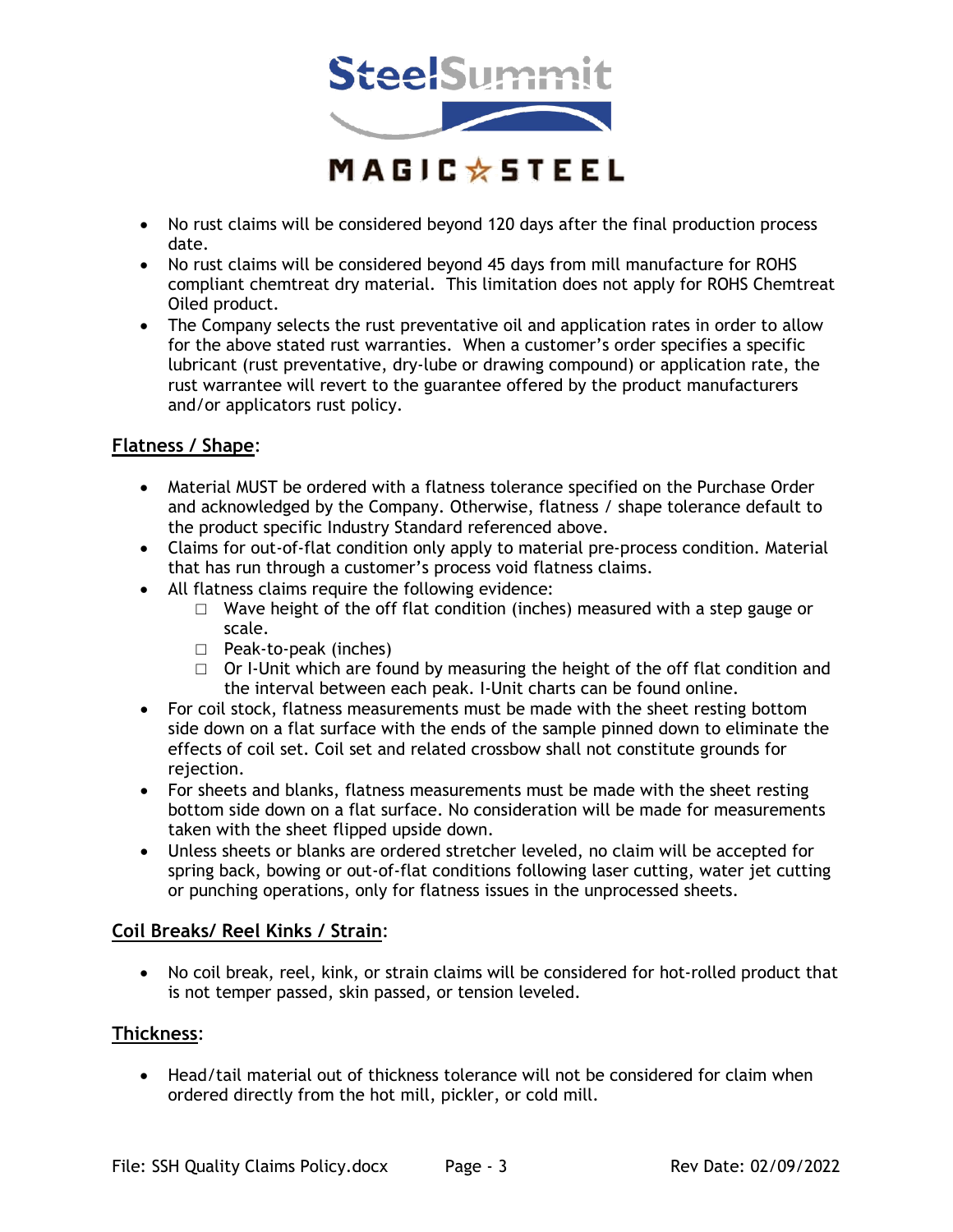

- No rust claims will be considered beyond 120 days after the final production process date.
- No rust claims will be considered beyond 45 days from mill manufacture for ROHS compliant chemtreat dry material. This limitation does not apply for ROHS Chemtreat Oiled product.
- The Company selects the rust preventative oil and application rates in order to allow for the above stated rust warranties. When a customer's order specifies a specific lubricant (rust preventative, dry-lube or drawing compound) or application rate, the rust warrantee will revert to the guarantee offered by the product manufacturers and/or applicators rust policy.

## **Flatness / Shape**:

- Material MUST be ordered with a flatness tolerance specified on the Purchase Order and acknowledged by the Company. Otherwise, flatness / shape tolerance default to the product specific Industry Standard referenced above.
- Claims for out-of-flat condition only apply to material pre-process condition. Material that has run through a customer's process void flatness claims.
- All flatness claims require the following evidence:
	- $\Box$  Wave height of the off flat condition (inches) measured with a step gauge or scale.
	- □ Peak-to-peak (inches)
	- $\Box$  Or I-Unit which are found by measuring the height of the off flat condition and the interval between each peak. I-Unit charts can be found online.
- For coil stock, flatness measurements must be made with the sheet resting bottom side down on a flat surface with the ends of the sample pinned down to eliminate the effects of coil set. Coil set and related crossbow shall not constitute grounds for rejection.
- For sheets and blanks, flatness measurements must be made with the sheet resting bottom side down on a flat surface. No consideration will be made for measurements taken with the sheet flipped upside down.
- Unless sheets or blanks are ordered stretcher leveled, no claim will be accepted for spring back, bowing or out-of-flat conditions following laser cutting, water jet cutting or punching operations, only for flatness issues in the unprocessed sheets.

## **Coil Breaks/ Reel Kinks / Strain**:

• No coil break, reel, kink, or strain claims will be considered for hot-rolled product that is not temper passed, skin passed, or tension leveled.

## **Thickness**:

• Head/tail material out of thickness tolerance will not be considered for claim when ordered directly from the hot mill, pickler, or cold mill.